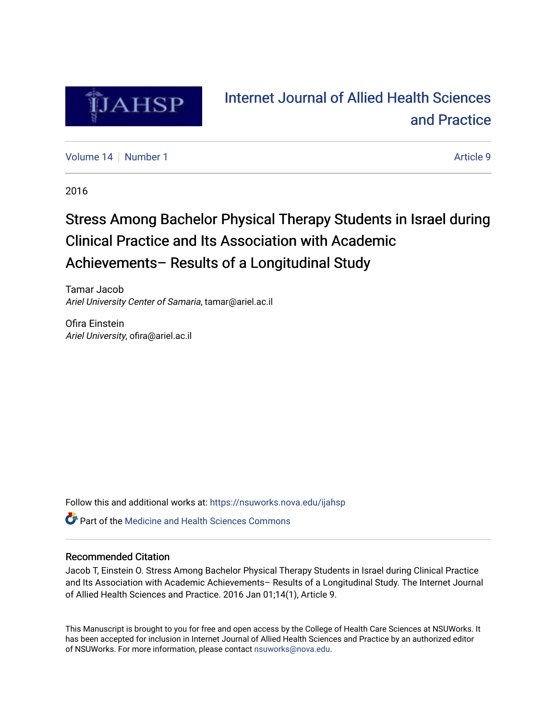

# [Internet Journal of Allied Health Sciences](https://nsuworks.nova.edu/ijahsp)  [and Practice](https://nsuworks.nova.edu/ijahsp)

[Volume 14](https://nsuworks.nova.edu/ijahsp/vol14) | [Number 1](https://nsuworks.nova.edu/ijahsp/vol14/iss1) Article 9

2016

# Stress Among Bachelor Physical Therapy Students in Israel during Clinical Practice and Its Association with Academic Achievements– Results of a Longitudinal Study

Tamar Jacob Ariel University Center of Samaria, tamar@ariel.ac.il

Ofira Einstein Ariel University, ofira@ariel.ac.il

Follow this and additional works at: [https://nsuworks.nova.edu/ijahsp](https://nsuworks.nova.edu/ijahsp?utm_source=nsuworks.nova.edu%2Fijahsp%2Fvol14%2Fiss1%2F9&utm_medium=PDF&utm_campaign=PDFCoverPages) 

**C** Part of the Medicine and Health Sciences Commons

### Recommended Citation

Jacob T, Einstein O. Stress Among Bachelor Physical Therapy Students in Israel during Clinical Practice and Its Association with Academic Achievements– Results of a Longitudinal Study. The Internet Journal of Allied Health Sciences and Practice. 2016 Jan 01;14(1), Article 9.

This Manuscript is brought to you for free and open access by the College of Health Care Sciences at NSUWorks. It has been accepted for inclusion in Internet Journal of Allied Health Sciences and Practice by an authorized editor of NSUWorks. For more information, please contact [nsuworks@nova.edu.](mailto:nsuworks@nova.edu)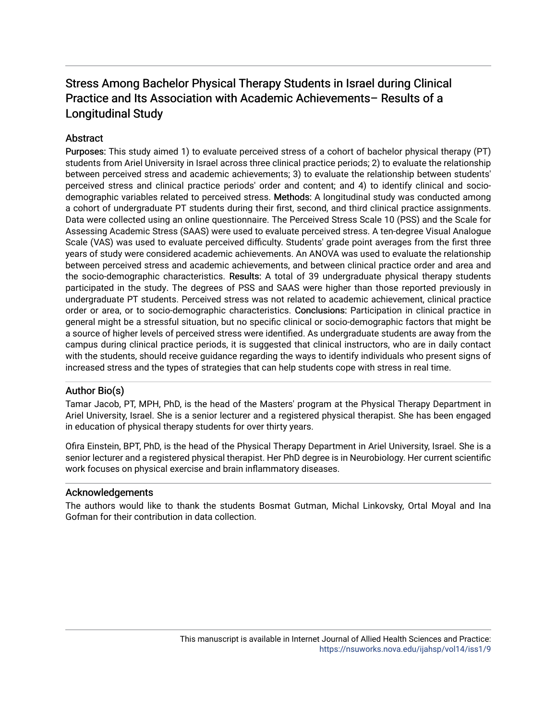## **Abstract**

Purposes: This study aimed 1) to evaluate perceived stress of a cohort of bachelor physical therapy (PT) students from Ariel University in Israel across three clinical practice periods; 2) to evaluate the relationship between perceived stress and academic achievements; 3) to evaluate the relationship between students' perceived stress and clinical practice periods' order and content; and 4) to identify clinical and sociodemographic variables related to perceived stress. Methods: A longitudinal study was conducted among a cohort of undergraduate PT students during their first, second, and third clinical practice assignments. Data were collected using an online questionnaire. The Perceived Stress Scale 10 (PSS) and the Scale for Assessing Academic Stress (SAAS) were used to evaluate perceived stress. A ten-degree Visual Analogue Scale (VAS) was used to evaluate perceived difficulty. Students' grade point averages from the first three years of study were considered academic achievements. An ANOVA was used to evaluate the relationship between perceived stress and academic achievements, and between clinical practice order and area and the socio-demographic characteristics. Results: A total of 39 undergraduate physical therapy students participated in the study. The degrees of PSS and SAAS were higher than those reported previously in undergraduate PT students. Perceived stress was not related to academic achievement, clinical practice order or area, or to socio-demographic characteristics. Conclusions: Participation in clinical practice in general might be a stressful situation, but no specific clinical or socio-demographic factors that might be a source of higher levels of perceived stress were identified. As undergraduate students are away from the campus during clinical practice periods, it is suggested that clinical instructors, who are in daily contact with the students, should receive guidance regarding the ways to identify individuals who present signs of increased stress and the types of strategies that can help students cope with stress in real time.

## Author Bio(s)

Tamar Jacob, PT, MPH, PhD, is the head of the Masters' program at the Physical Therapy Department in Ariel University, Israel. She is a senior lecturer and a registered physical therapist. She has been engaged in education of physical therapy students for over thirty years.

Ofira Einstein, BPT, PhD, is the head of the Physical Therapy Department in Ariel University, Israel. She is a senior lecturer and a registered physical therapist. Her PhD degree is in Neurobiology. Her current scientific work focuses on physical exercise and brain inflammatory diseases.

## Acknowledgements

The authors would like to thank the students Bosmat Gutman, Michal Linkovsky, Ortal Moyal and Ina Gofman for their contribution in data collection.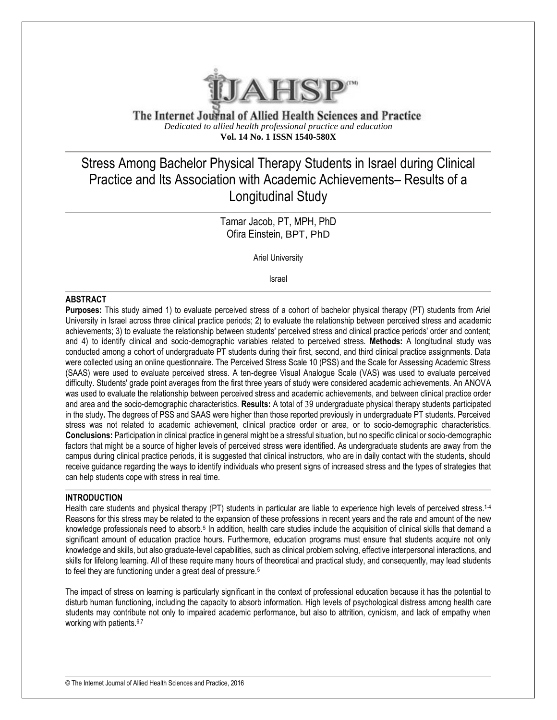

The Internet Journal of Allied Health Sciences and Practice *Dedicated to allied health professional practice and education* **Vol. 14 No. 1 ISSN 1540-580X**

# Stress Among Bachelor Physical Therapy Students in Israel during Clinical Practice and Its Association with Academic Achievements– Results of a Longitudinal Study

Tamar Jacob, PT, MPH, PhD Ofira Einstein, BPT, PhD

Ariel University

Israel

#### **ABSTRACT**

**Purposes:** This study aimed 1) to evaluate perceived stress of a cohort of bachelor physical therapy (PT) students from Ariel University in Israel across three clinical practice periods; 2) to evaluate the relationship between perceived stress and academic achievements; 3) to evaluate the relationship between students' perceived stress and clinical practice periods' order and content; and 4) to identify clinical and socio-demographic variables related to perceived stress. **Methods:** A longitudinal study was conducted among a cohort of undergraduate PT students during their first, second, and third clinical practice assignments. Data were collected using an online questionnaire. The Perceived Stress Scale 10 (PSS) and the Scale for Assessing Academic Stress (SAAS) were used to evaluate perceived stress. A ten-degree Visual Analogue Scale (VAS) was used to evaluate perceived difficulty. Students' grade point averages from the first three years of study were considered academic achievements. An ANOVA was used to evaluate the relationship between perceived stress and academic achievements, and between clinical practice order and area and the socio-demographic characteristics. **Results:** A total of 39 undergraduate physical therapy students participated in the study**.** The degrees of PSS and SAAS were higher than those reported previously in undergraduate PT students. Perceived stress was not related to academic achievement, clinical practice order or area, or to socio-demographic characteristics. **Conclusions:** Participation in clinical practice in general might be a stressful situation, but no specific clinical or socio-demographic factors that might be a source of higher levels of perceived stress were identified. As undergraduate students are away from the campus during clinical practice periods, it is suggested that clinical instructors, who are in daily contact with the students, should receive guidance regarding the ways to identify individuals who present signs of increased stress and the types of strategies that can help students cope with stress in real time.

#### **INTRODUCTION**

Health care students and physical therapy (PT) students in particular are liable to experience high levels of perceived stress.<sup>14</sup> Reasons for this stress may be related to the expansion of these professions in recent years and the rate and amount of the new knowledge professionals need to absorb.<sup>5</sup> In addition, health care studies include the acquisition of clinical skills that demand a significant amount of education practice hours. Furthermore, education programs must ensure that students acquire not only knowledge and skills, but also graduate-level capabilities, such as clinical problem solving, effective interpersonal interactions, and skills for lifelong learning. All of these require many hours of theoretical and practical study, and consequently, may lead students to feel they are functioning under a great deal of pressure.<sup>5</sup>

The impact of stress on learning is particularly significant in the context of professional education because it has the potential to disturb human functioning, including the capacity to absorb information. High levels of psychological distress among health care students may contribute not only to impaired academic performance, but also to attrition, cynicism, and lack of empathy when working with patients.<sup>6,7</sup>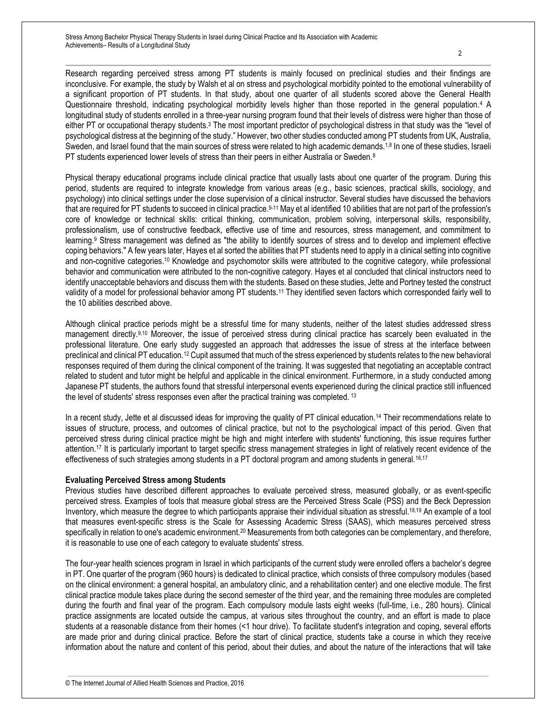Research regarding perceived stress among PT students is mainly focused on preclinical studies and their findings are inconclusive. For example, the study by Walsh et al on stress and psychological morbidity pointed to the emotional vulnerability of a significant proportion of PT students. In that study, about one quarter of all students scored above the General Health Questionnaire threshold, indicating psychological morbidity levels higher than those reported in the general population.<sup>4</sup> A longitudinal study of students enrolled in a three-year nursing program found that their levels of distress were higher than those of either PT or occupational therapy students.<sup>3</sup> The most important predictor of psychological distress in that study was the "level of psychological distress at the beginning of the study." However, two other studies conducted among PT students from UK, Australia, Sweden, and Israel found that the main sources of stress were related to high academic demands.<sup>1,8</sup> In one of these studies, Israeli PT students experienced lower levels of stress than their peers in either Australia or Sweden.<sup>8</sup>

Physical therapy educational programs include clinical practice that usually lasts about one quarter of the program. During this period, students are required to integrate knowledge from various areas (e.g., basic sciences, practical skills, sociology, and psychology) into clinical settings under the close supervision of a clinical instructor. Several studies have discussed the behaviors that are required for PT students to succeed in clinical practice.9-11 May et al identified 10 abilities that are not part of the profession's core of knowledge or technical skills: critical thinking, communication, problem solving, interpersonal skills, responsibility, professionalism, use of constructive feedback, effective use of time and resources, stress management, and commitment to learning.<sup>9</sup> Stress management was defined as "the ability to identify sources of stress and to develop and implement effective coping behaviors." A few years later, Hayes et al sorted the abilities that PT students need to apply in a clinical setting into cognitive and non-cognitive categories.<sup>10</sup> Knowledge and psychomotor skills were attributed to the cognitive category, while professional behavior and communication were attributed to the non-cognitive category. Hayes et al concluded that clinical instructors need to identify unacceptable behaviors and discuss them with the students. Based on these studies, Jette and Portney tested the construct validity of a model for professional behavior among PT students.<sup>11</sup> They identified seven factors which corresponded fairly well to the 10 abilities described above.

Although clinical practice periods might be a stressful time for many students, neither of the latest studies addressed stress management directly.9,10 Moreover, the issue of perceived stress during clinical practice has scarcely been evaluated in the professional literature. One early study suggested an approach that addresses the issue of stress at the interface between preclinical and clinical PT education.<sup>12</sup> Cupit assumed that much of the stress experienced by students relates to the new behavioral responses required of them during the clinical component of the training. It was suggested that negotiating an acceptable contract related to student and tutor might be helpful and applicable in the clinical environment. Furthermore, in a study conducted among Japanese PT students, the authors found that stressful interpersonal events experienced during the clinical practice still influenced the level of students' stress responses even after the practical training was completed. <sup>13</sup>

In a recent study, Jette et al discussed ideas for improving the quality of PT clinical education.<sup>14</sup> Their recommendations relate to issues of structure, process, and outcomes of clinical practice, but not to the psychological impact of this period. Given that perceived stress during clinical practice might be high and might interfere with students' functioning, this issue requires further attention.<sup>17</sup> It is particularly important to target specific stress management strategies in light of relatively recent evidence of the effectiveness of such strategies among students in a PT doctoral program and among students in general.<sup>16,17</sup>

#### **Evaluating Perceived Stress among Students**

Previous studies have described different approaches to evaluate perceived stress, measured globally, or as event-specific perceived stress. Examples of tools that measure global stress are the Perceived Stress Scale (PSS) and the Beck Depression Inventory, which measure the degree to which participants appraise their individual situation as stressful.18,19 An example of a tool that measures event-specific stress is the Scale for Assessing Academic Stress (SAAS), which measures perceived stress specifically in relation to one's academic environment.<sup>20</sup> Measurements from both categories can be complementary, and therefore, it is reasonable to use one of each category to evaluate students' stress.

The four-year health sciences program in Israel in which participants of the current study were enrolled offers a bachelor's degree in PT. One quarter of the program (960 hours) is dedicated to clinical practice, which consists of three compulsory modules (based on the clinical environment: a general hospital, an ambulatory clinic, and a rehabilitation center) and one elective module. The first clinical practice module takes place during the second semester of the third year, and the remaining three modules are completed during the fourth and final year of the program. Each compulsory module lasts eight weeks (full-time, i.e., 280 hours). Clinical practice assignments are located outside the campus, at various sites throughout the country, and an effort is made to place students at a reasonable distance from their homes (<1 hour drive). To facilitate student's integration and coping, several efforts are made prior and during clinical practice. Before the start of clinical practice, students take a course in which they receive information about the nature and content of this period, about their duties, and about the nature of the interactions that will take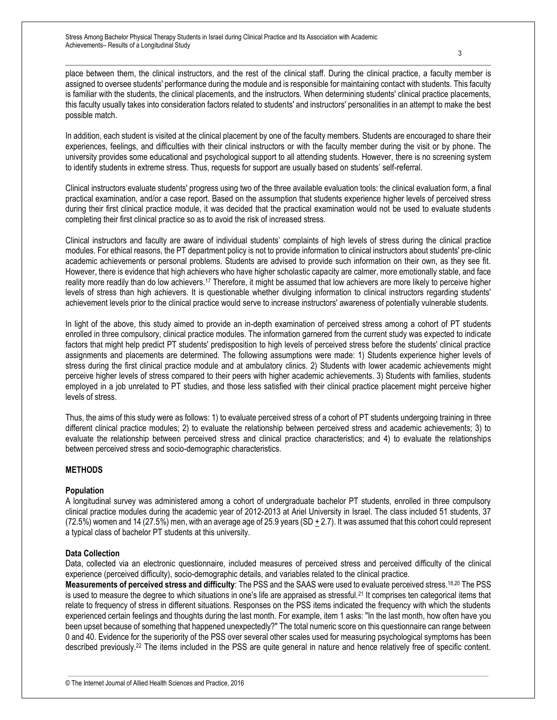place between them, the clinical instructors, and the rest of the clinical staff. During the clinical practice, a faculty member is assigned to oversee students' performance during the module and is responsible for maintaining contact with students. This faculty is familiar with the students, the clinical placements, and the instructors. When determining students' clinical practice placements, this faculty usually takes into consideration factors related to students' and instructors' personalities in an attempt to make the best possible match.

In addition, each student is visited at the clinical placement by one of the faculty members. Students are encouraged to share their experiences, feelings, and difficulties with their clinical instructors or with the faculty member during the visit or by phone. The university provides some educational and psychological support to all attending students. However, there is no screening system to identify students in extreme stress. Thus, requests for support are usually based on students' self-referral.

Clinical instructors evaluate students' progress using two of the three available evaluation tools: the clinical evaluation form, a final practical examination, and/or a case report. Based on the assumption that students experience higher levels of perceived stress during their first clinical practice module, it was decided that the practical examination would not be used to evaluate students completing their first clinical practice so as to avoid the risk of increased stress.

Clinical instructors and faculty are aware of individual students' complaints of high levels of stress during the clinical practice modules. For ethical reasons, the PT department policy is not to provide information to clinical instructors about students' pre-clinic academic achievements or personal problems. Students are advised to provide such information on their own, as they see fit. However, there is evidence that high achievers who have higher scholastic capacity are calmer, more emotionally stable, and face reality more readily than do low achievers.<sup>17</sup> Therefore, it might be assumed that low achievers are more likely to perceive higher levels of stress than high achievers. It is questionable whether divulging information to clinical instructors regarding students' achievement levels prior to the clinical practice would serve to increase instructors' awareness of potentially vulnerable students.

In light of the above, this study aimed to provide an in-depth examination of perceived stress among a cohort of PT students enrolled in three compulsory, clinical practice modules. The information garnered from the current study was expected to indicate factors that might help predict PT students' predisposition to high levels of perceived stress before the students' clinical practice assignments and placements are determined. The following assumptions were made: 1) Students experience higher levels of stress during the first clinical practice module and at ambulatory clinics. 2) Students with lower academic achievements might perceive higher levels of stress compared to their peers with higher academic achievements. 3) Students with families, students employed in a job unrelated to PT studies, and those less satisfied with their clinical practice placement might perceive higher levels of stress.

Thus, the aims of this study were as follows: 1) to evaluate perceived stress of a cohort of PT students undergoing training in three different clinical practice modules; 2) to evaluate the relationship between perceived stress and academic achievements; 3) to evaluate the relationship between perceived stress and clinical practice characteristics; and 4) to evaluate the relationships between perceived stress and socio-demographic characteristics.

#### **METHODS**

#### **Population**

A longitudinal survey was administered among a cohort of undergraduate bachelor PT students, enrolled in three compulsory clinical practice modules during the academic year of 2012-2013 at Ariel University in Israel. The class included 51 students, 37 (72.5%) women and 14 (27.5%) men, with an average age of 25.9 years (SD  $\pm$  2.7). It was assumed that this cohort could represent a typical class of bachelor PT students at this university.

#### **Data Collection**

Data, collected via an electronic questionnaire, included measures of perceived stress and perceived difficulty of the clinical experience (perceived difficulty), socio-demographic details, and variables related to the clinical practice.

**Measurements of perceived stress and difficulty**: The PSS and the SAAS were used to evaluate perceived stress.18,20 The PSS is used to measure the degree to which situations in one's life are appraised as stressful.<sup>21</sup> It comprises ten categorical items that relate to frequency of stress in different situations. Responses on the PSS items indicated the frequency with which the students experienced certain feelings and thoughts during the last month. For example, item 1 asks: "In the last month, how often have you been upset because of something that happened unexpectedly?" The total numeric score on this questionnaire can range between 0 and 40. Evidence for the superiority of the PSS over several other scales used for measuring psychological symptoms has been described previously.<sup>22</sup> The items included in the PSS are quite general in nature and hence relatively free of specific content.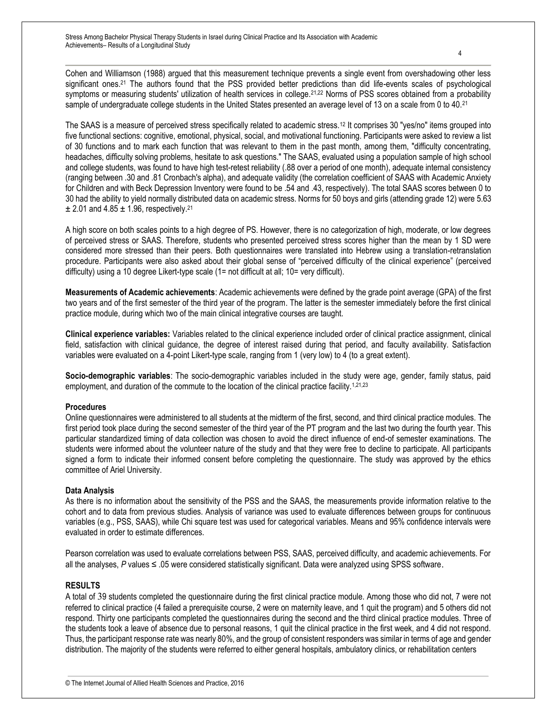The SAAS is a measure of perceived stress specifically related to academic stress.<sup>12</sup> It comprises 30 "yes/no" items grouped into five functional sections: cognitive, emotional, physical, social, and motivational functioning. Participants were asked to review a list of 30 functions and to mark each function that was relevant to them in the past month, among them, "difficulty concentrating, headaches, difficulty solving problems, hesitate to ask questions." The SAAS, evaluated using a population sample of high school and college students, was found to have high test-retest reliability (.88 over a period of one month), adequate internal consistency (ranging between .30 and .81 Cronbach's alpha), and adequate validity (the correlation coefficient of SAAS with Academic Anxiety for Children and with Beck Depression Inventory were found to be .54 and .43, respectively). The total SAAS scores between 0 to 30 had the ability to yield normally distributed data on academic stress. Norms for 50 boys and girls (attending grade 12) were 5.63  $\pm$  2.01 and 4.85  $\pm$  1.96, respectively.<sup>21</sup>

A high score on both scales points to a high degree of PS. However, there is no categorization of high, moderate, or low degrees of perceived stress or SAAS. Therefore, students who presented perceived stress scores higher than the mean by 1 SD were considered more stressed than their peers. Both questionnaires were translated into Hebrew using a translation-retranslation procedure. Participants were also asked about their global sense of "perceived difficulty of the clinical experience" (perceived difficulty) using a 10 degree Likert-type scale (1= not difficult at all; 10= very difficult).

**Measurements of Academic achievements**: Academic achievements were defined by the grade point average (GPA) of the first two years and of the first semester of the third year of the program. The latter is the semester immediately before the first clinical practice module, during which two of the main clinical integrative courses are taught.

**Clinical experience variables:** Variables related to the clinical experience included order of clinical practice assignment, clinical field, satisfaction with clinical guidance, the degree of interest raised during that period, and faculty availability. Satisfaction variables were evaluated on a 4-point Likert-type scale, ranging from 1 (very low) to 4 (to a great extent).

**Socio-demographic variables**: The socio-demographic variables included in the study were age, gender, family status, paid employment, and duration of the commute to the location of the clinical practice facility.<sup>1,21,23</sup>

#### **Procedures**

Online questionnaires were administered to all students at the midterm of the first, second, and third clinical practice modules. The first period took place during the second semester of the third year of the PT program and the last two during the fourth year. This particular standardized timing of data collection was chosen to avoid the direct influence of end-of semester examinations. The students were informed about the volunteer nature of the study and that they were free to decline to participate. All participants signed a form to indicate their informed consent before completing the questionnaire. The study was approved by the ethics committee of Ariel University.

#### **Data Analysis**

As there is no information about the sensitivity of the PSS and the SAAS, the measurements provide information relative to the cohort and to data from previous studies. Analysis of variance was used to evaluate differences between groups for continuous variables (e.g., PSS, SAAS), while Chi square test was used for categorical variables. Means and 95% confidence intervals were evaluated in order to estimate differences.

Pearson correlation was used to evaluate correlations between PSS, SAAS, perceived difficulty, and academic achievements. For all the analyses, *P* values ≤ .05 were considered statistically significant. Data were analyzed using SPSS software.

#### **RESULTS**

A total of 39 students completed the questionnaire during the first clinical practice module. Among those who did not, 7 were not referred to clinical practice (4 failed a prerequisite course, 2 were on maternity leave, and 1 quit the program) and 5 others did not respond. Thirty one participants completed the questionnaires during the second and the third clinical practice modules. Three of the students took a leave of absence due to personal reasons, 1 quit the clinical practice in the first week, and 4 did not respond. Thus, the participant response rate was nearly 80%, and the group of consistent responders was similar in terms of age and gender distribution. The majority of the students were referred to either general hospitals, ambulatory clinics, or rehabilitation centers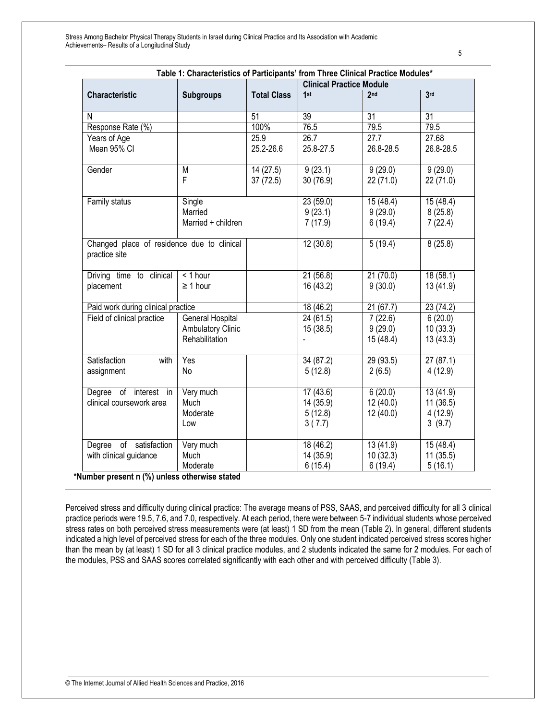| Table 1: Characteristics of Participants' from Three Clinical Practice Modules* |                                                                |                       |                                            |                                  |                                           |  |  |
|---------------------------------------------------------------------------------|----------------------------------------------------------------|-----------------------|--------------------------------------------|----------------------------------|-------------------------------------------|--|--|
|                                                                                 |                                                                |                       | <b>Clinical Practice Module</b>            |                                  |                                           |  |  |
| <b>Characteristic</b>                                                           | <b>Subgroups</b>                                               | <b>Total Class</b>    | 1st                                        | 2nd                              | 3rd                                       |  |  |
| N                                                                               |                                                                | $\overline{51}$       | 39                                         | 31                               | $\overline{31}$                           |  |  |
| Response Rate (%)                                                               |                                                                | 100%                  | 76.5                                       | 79.5                             | 79.5                                      |  |  |
| Years of Age<br>Mean 95% CI                                                     |                                                                | 25.9<br>25.2-26.6     | 26.7<br>25.8-27.5                          | 27.7<br>26.8-28.5                | 27.68<br>26.8-28.5                        |  |  |
| Gender                                                                          | M<br>F                                                         | 14 (27.5)<br>37(72.5) | 9(23.1)<br>30 (76.9)                       | 9(29.0)<br>22 (71.0)             | 9(29.0)<br>22(71.0)                       |  |  |
| Family status                                                                   | Single<br>Married<br>Married + children                        |                       | 23 (59.0)<br>9(23.1)<br>7(17.9)            | 15(48.4)<br>9(29.0)<br>6(19.4)   | 15 (48.4)<br>8(25.8)<br>7(22.4)           |  |  |
| Changed place of residence due to clinical<br>practice site                     |                                                                |                       | 12(30.8)                                   | 5(19.4)                          | 8(25.8)                                   |  |  |
| Driving time to clinical<br>placement                                           | < 1 hour<br>$\geq 1$ hour                                      |                       | 21(56.8)<br>16 (43.2)                      | 21(70.0)<br>9(30.0)              | 18 (58.1)<br>13 (41.9)                    |  |  |
| Paid work during clinical practice                                              |                                                                |                       | 18(46.2)                                   | 21(67.7)                         | 23 (74.2)                                 |  |  |
| Field of clinical practice                                                      | General Hospital<br><b>Ambulatory Clinic</b><br>Rehabilitation |                       | 24 (61.5)<br>15(38.5)                      | 7(22.6)<br>9(29.0)<br>15 (48.4)  | 6(20.0)<br>10(33.3)<br>13(43.3)           |  |  |
| Satisfaction<br>with<br>assignment                                              | Yes<br>No                                                      |                       | 34(87.2)<br>5(12.8)                        | 29(93.5)<br>2(6.5)               | 27(87.1)<br>4(12.9)                       |  |  |
| Degree of interest in<br>clinical coursework area                               | Very much<br>Much<br>Moderate<br>Low                           |                       | 17(43.6)<br>14 (35.9)<br>5(12.8)<br>3(7.7) | 6(20.0)<br>12(40.0)<br>12 (40.0) | 13(41.9)<br>11(36.5)<br>4(12.9)<br>3(9.7) |  |  |
| Degree of satisfaction<br>with clinical guidance                                | Very much<br>Much<br>Moderate                                  |                       | 18 (46.2)<br>14 (35.9)<br>6(15.4)          | 13 (41.9)<br>10(32.3)<br>6(19.4) | 15 (48.4)<br>11(35.5)<br>5(16.1)          |  |  |

 **\*Number present n (%) unless otherwise stated**

Perceived stress and difficulty during clinical practice: The average means of PSS, SAAS, and perceived difficulty for all 3 clinical practice periods were 19.5, 7.6, and 7.0, respectively. At each period, there were between 5-7 individual students whose perceived stress rates on both perceived stress measurements were (at least) 1 SD from the mean (Table 2). In general, different students indicated a high level of perceived stress for each of the three modules. Only one student indicated perceived stress scores higher than the mean by (at least) 1 SD for all 3 clinical practice modules, and 2 students indicated the same for 2 modules. For each of the modules, PSS and SAAS scores correlated significantly with each other and with perceived difficulty (Table 3).

5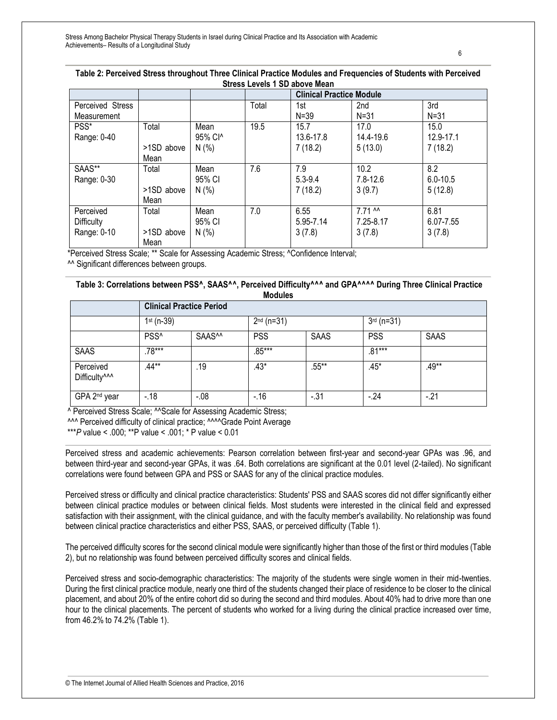#### **Table 2: Perceived Stress throughout Three Clinical Practice Modules and Frequencies of Students with Perceived Stress Levels 1 SD above Mean**

|                  |            |         |       | <b>Clinical Practice Module</b> |              |              |
|------------------|------------|---------|-------|---------------------------------|--------------|--------------|
| Perceived Stress |            |         | Total | 1st                             | 2nd          | 3rd          |
| Measurement      |            |         |       | $N = 39$                        | $N = 31$     | $N = 31$     |
| PSS*             | Total      | Mean    | 19.5  | 15.7                            | 17.0         | 15.0         |
| Range: 0-40      |            | 95% Cl^ |       | 13.6-17.8                       | 14.4-19.6    | 12.9-17.1    |
|                  | >1SD above | N(%     |       | 7(18.2)                         | 5(13.0)      | 7(18.2)      |
|                  | Mean       |         |       |                                 |              |              |
| SAAS**           | Total      | Mean    | 7.6   | 7.9                             | 10.2         | 8.2          |
| Range: 0-30      |            | 95% CI  |       | $5.3 - 9.4$                     | $7.8 - 12.6$ | $6.0 - 10.5$ |
|                  | >1SD above | N(%     |       | 7(18.2)                         | 3(9.7)       | 5(12.8)      |
|                  | Mean       |         |       |                                 |              |              |
| Perceived        | Total      | Mean    | 7.0   | 6.55                            | 7.71 M       | 6.81         |
| Difficulty       |            | 95% CI  |       | 5.95-7.14                       | 7.25-8.17    | 6.07-7.55    |
| Range: 0-10      | >1SD above | N(%     |       | 3(7.8)                          | 3(7.8)       | 3(7.8)       |
|                  | Mean       |         |       |                                 |              |              |

\*Perceived Stress Scale; \*\* Scale for Assessing Academic Stress; ^Confidence Interval;

^^ Significant differences between groups.

#### **Table 3: Correlations between PSS^, SAAS^^, Perceived Difficulty^^^ and GPA^^^^ During Three Clinical Practice Modules**

|                                        |                  | <b>Clinical Practice Period</b> |            |              |            |              |  |  |
|----------------------------------------|------------------|---------------------------------|------------|--------------|------------|--------------|--|--|
|                                        | $1st$ (n-39)     |                                 |            | $2nd$ (n=31) |            | $3rd$ (n=31) |  |  |
|                                        | PSS <sup>^</sup> | SAAS <sup>^^</sup>              | <b>PSS</b> | <b>SAAS</b>  | <b>PSS</b> | SAAS         |  |  |
| <b>SAAS</b>                            | $.78***$         |                                 | $.85***$   |              | .81***     |              |  |  |
| Perceived<br>Difficulty <sup>^^^</sup> | $.44**$          | .19                             | $.43*$     | $.55***$     | .45*       | .49**        |  |  |
| GPA 2 <sup>nd</sup> year               | $-18$            | $-08$                           | $-16$      | $-.31$       | $-24$      | $-21$        |  |  |

^ Perceived Stress Scale; ^^Scale for Assessing Academic Stress;

^^^ Perceived difficulty of clinical practice; ^^^^Grade Point Average

\*\*\**P* value < .000; \*\*P value < .001; \* P value < 0.01

Perceived stress and academic achievements: Pearson correlation between first-year and second-year GPAs was .96, and between third-year and second-year GPAs, it was .64. Both correlations are significant at the 0.01 level (2-tailed). No significant correlations were found between GPA and PSS or SAAS for any of the clinical practice modules.

Perceived stress or difficulty and clinical practice characteristics: Students' PSS and SAAS scores did not differ significantly either between clinical practice modules or between clinical fields. Most students were interested in the clinical field and expressed satisfaction with their assignment, with the clinical guidance, and with the faculty member's availability. No relationship was found between clinical practice characteristics and either PSS, SAAS, or perceived difficulty (Table 1).

The perceived difficulty scores for the second clinical module were significantly higher than those of the first or third modules (Table 2), but no relationship was found between perceived difficulty scores and clinical fields.

Perceived stress and socio-demographic characteristics: The majority of the students were single women in their mid-twenties. During the first clinical practice module, nearly one third of the students changed their place of residence to be closer to the clinical placement, and about 20% of the entire cohort did so during the second and third modules. About 40% had to drive more than one hour to the clinical placements. The percent of students who worked for a living during the clinical practice increased over time, from 46.2% to 74.2% (Table 1).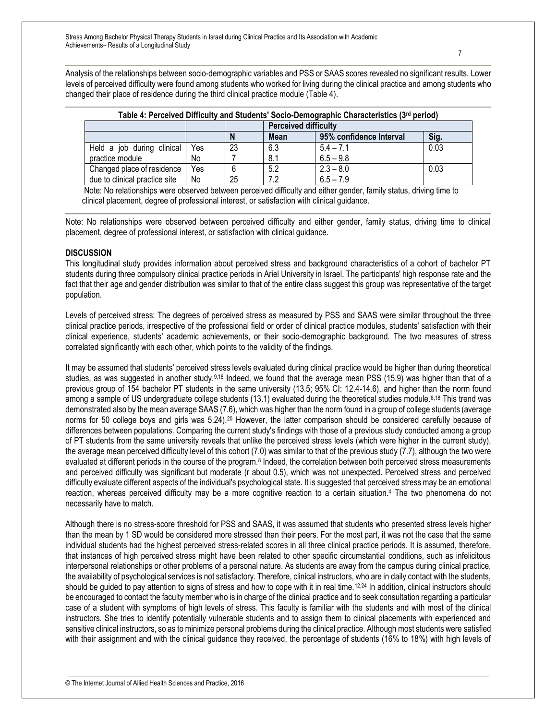Analysis of the relationships between socio-demographic variables and PSS or SAAS scores revealed no significant results. Lower levels of perceived difficulty were found among students who worked for living during the clinical practice and among students who changed their place of residence during the third clinical practice module (Table 4).

| Table 4: Perceived Difficulty and Students' Socio-Demographic Characteristics (3@ period) |     |    |                             |                         |      |  |
|-------------------------------------------------------------------------------------------|-----|----|-----------------------------|-------------------------|------|--|
|                                                                                           |     |    | <b>Perceived difficulty</b> |                         |      |  |
|                                                                                           |     | N  | <b>Mean</b>                 | 95% confidence Interval | Sig. |  |
| Held a job during clinical                                                                | Yes | 23 | 6.3                         | $5.4 - 7.1$             | 0.03 |  |
| practice module                                                                           | No  |    | 8.1                         | $6.5 - 9.8$             |      |  |
| Changed place of residence                                                                | Yes | 6  | 5.2                         | $2.3 - 8.0$             | 0.03 |  |
| due to clinical practice site                                                             | No  | 25 | 7.2                         | $6.5 - 7.9$             |      |  |

| Table 4: Perceived Difficulty and Students' Socio-Demographic Characteristics (3rd period) |  |  |  |
|--------------------------------------------------------------------------------------------|--|--|--|
|                                                                                            |  |  |  |

 Note: No relationships were observed between perceived difficulty and either gender, family status, driving time to clinical placement, degree of professional interest, or satisfaction with clinical guidance.

Note: No relationships were observed between perceived difficulty and either gender, family status, driving time to clinical placement, degree of professional interest, or satisfaction with clinical guidance.

#### **DISCUSSION**

This longitudinal study provides information about perceived stress and background characteristics of a cohort of bachelor PT students during three compulsory clinical practice periods in Ariel University in Israel. The participants' high response rate and the fact that their age and gender distribution was similar to that of the entire class suggest this group was representative of the target population.

Levels of perceived stress: The degrees of perceived stress as measured by PSS and SAAS were similar throughout the three clinical practice periods, irrespective of the professional field or order of clinical practice modules, students' satisfaction with their clinical experience, students' academic achievements, or their socio-demographic background. The two measures of stress correlated significantly with each other, which points to the validity of the findings.

It may be assumed that students' perceived stress levels evaluated during clinical practice would be higher than during theoretical studies, as was suggested in another study.9,18 Indeed, we found that the average mean PSS (15.9) was higher than that of a previous group of 154 bachelor PT students in the same university (13.5; 95% CI: 12.4-14.6), and higher than the norm found among a sample of US undergraduate college students (13.1) evaluated during the theoretical studies module.<sup>8,18</sup> This trend was demonstrated also by the mean average SAAS (7.6), which was higher than the norm found in a group of college students (average norms for 50 college boys and girls was 5.24).<sup>20</sup> However, the latter comparison should be considered carefully because of differences between populations. Comparing the current study's findings with those of a previous study conducted among a group of PT students from the same university reveals that unlike the perceived stress levels (which were higher in the current study), the average mean perceived difficulty level of this cohort (7.0) was similar to that of the previous study (7.7), although the two were evaluated at different periods in the course of the program.<sup>8</sup> Indeed, the correlation between both perceived stress measurements and perceived difficulty was significant but moderate (r about 0.5), which was not unexpected. Perceived stress and perceived difficulty evaluate different aspects of the individual's psychological state. It is suggested that perceived stress may be an emotional reaction, whereas perceived difficulty may be a more cognitive reaction to a certain situation.<sup>4</sup> The two phenomena do not necessarily have to match.

Although there is no stress-score threshold for PSS and SAAS, it was assumed that students who presented stress levels higher than the mean by 1 SD would be considered more stressed than their peers. For the most part, it was not the case that the same individual students had the highest perceived stress-related scores in all three clinical practice periods. It is assumed, therefore, that instances of high perceived stress might have been related to other specific circumstantial conditions, such as infelicitous interpersonal relationships or other problems of a personal nature. As students are away from the campus during clinical practice, the availability of psychological services is not satisfactory. Therefore, clinical instructors, who are in daily contact with the students, should be quided to pay attention to signs of stress and how to cope with it in real time.<sup>12,24</sup> In addition, clinical instructors should be encouraged to contact the faculty member who is in charge of the clinical practice and to seek consultation regarding a particular case of a student with symptoms of high levels of stress. This faculty is familiar with the students and with most of the clinical instructors. She tries to identify potentially vulnerable students and to assign them to clinical placements with experienced and sensitive clinical instructors, so as to minimize personal problems during the clinical practice. Although most students were satisfied with their assignment and with the clinical guidance they received, the percentage of students (16% to 18%) with high levels of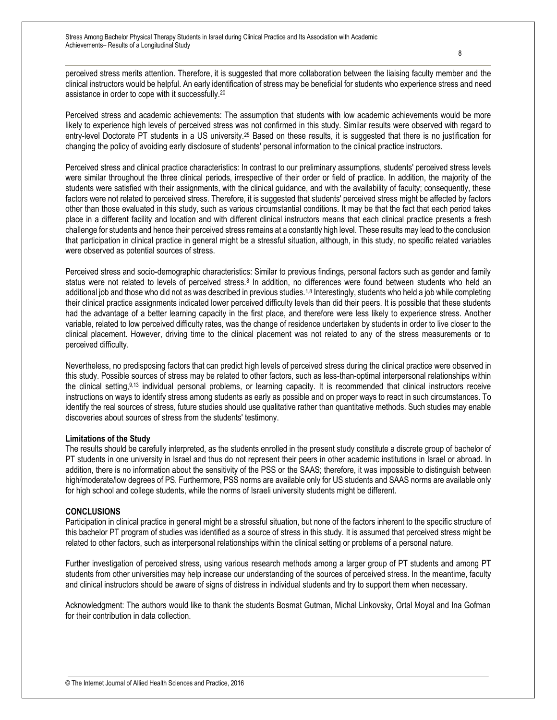perceived stress merits attention. Therefore, it is suggested that more collaboration between the liaising faculty member and the clinical instructors would be helpful. An early identification of stress may be beneficial for students who experience stress and need assistance in order to cope with it successfully.<sup>20</sup>

Perceived stress and academic achievements: The assumption that students with low academic achievements would be more likely to experience high levels of perceived stress was not confirmed in this study. Similar results were observed with regard to entry-level Doctorate PT students in a US university.<sup>25</sup> Based on these results, it is suggested that there is no justification for changing the policy of avoiding early disclosure of students' personal information to the clinical practice instructors.

Perceived stress and clinical practice characteristics: In contrast to our preliminary assumptions, students' perceived stress levels were similar throughout the three clinical periods, irrespective of their order or field of practice. In addition, the majority of the students were satisfied with their assignments, with the clinical guidance, and with the availability of faculty; consequently, these factors were not related to perceived stress. Therefore, it is suggested that students' perceived stress might be affected by factors other than those evaluated in this study, such as various circumstantial conditions. It may be that the fact that each period takes place in a different facility and location and with different clinical instructors means that each clinical practice presents a fresh challenge for students and hence their perceived stress remains at a constantly high level. These results may lead to the conclusion that participation in clinical practice in general might be a stressful situation, although, in this study, no specific related variables were observed as potential sources of stress.

Perceived stress and socio-demographic characteristics: Similar to previous findings, personal factors such as gender and family status were not related to levels of perceived stress.<sup>8</sup> In addition, no differences were found between students who held an additional job and those who did not as was described in previous studies.1,8 Interestingly, students who held a job while completing their clinical practice assignments indicated lower perceived difficulty levels than did their peers. It is possible that these students had the advantage of a better learning capacity in the first place, and therefore were less likely to experience stress. Another variable, related to low perceived difficulty rates, was the change of residence undertaken by students in order to live closer to the clinical placement. However, driving time to the clinical placement was not related to any of the stress measurements or to perceived difficulty.

Nevertheless, no predisposing factors that can predict high levels of perceived stress during the clinical practice were observed in this study. Possible sources of stress may be related to other factors, such as less-than-optimal interpersonal relationships within the clinical setting,<sup>9,13</sup> individual personal problems, or learning capacity. It is recommended that clinical instructors receive instructions on ways to identify stress among students as early as possible and on proper ways to react in such circumstances. To identify the real sources of stress, future studies should use qualitative rather than quantitative methods. Such studies may enable discoveries about sources of stress from the students' testimony.

#### **Limitations of the Study**

The results should be carefully interpreted, as the students enrolled in the present study constitute a discrete group of bachelor of PT students in one university in Israel and thus do not represent their peers in other academic institutions in Israel or abroad. In addition, there is no information about the sensitivity of the PSS or the SAAS; therefore, it was impossible to distinguish between high/moderate/low degrees of PS. Furthermore, PSS norms are available only for US students and SAAS norms are available only for high school and college students, while the norms of Israeli university students might be different.

#### **CONCLUSIONS**

Participation in clinical practice in general might be a stressful situation, but none of the factors inherent to the specific structure of this bachelor PT program of studies was identified as a source of stress in this study. It is assumed that perceived stress might be related to other factors, such as interpersonal relationships within the clinical setting or problems of a personal nature.

Further investigation of perceived stress, using various research methods among a larger group of PT students and among PT students from other universities may help increase our understanding of the sources of perceived stress. In the meantime, faculty and clinical instructors should be aware of signs of distress in individual students and try to support them when necessary.

Acknowledgment: The authors would like to thank the students Bosmat Gutman, Michal Linkovsky, Ortal Moyal and Ina Gofman for their contribution in data collection.

8